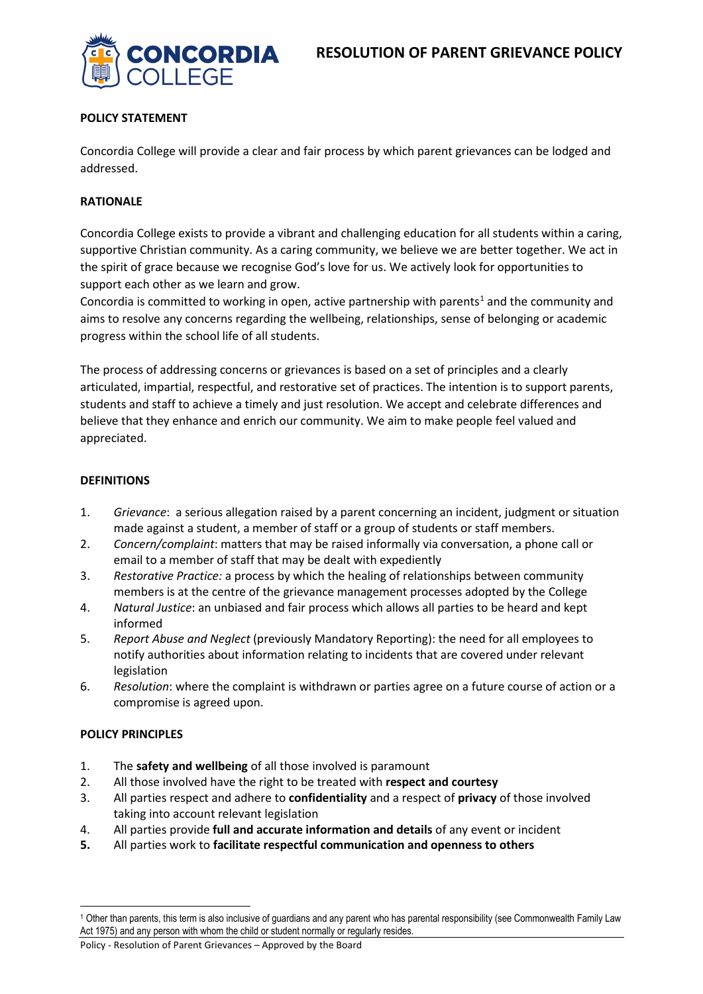

## **POLICY STATEMENT**

Concordia College will provide a clear and fair process by which parent grievances can be lodged and addressed.

## **RATIONALE**

Concordia College exists to provide a vibrant and challenging education for all students within a caring, supportive Christian community. As a caring community, we believe we are better together. We act in the spirit of grace because we recognise God's love for us. We actively look for opportunities to support each other as we learn and grow.

Concordia is committed to working in open, active partnership with parents<sup>[1](#page-0-0)</sup> and the community and aims to resolve any concerns regarding the wellbeing, relationships, sense of belonging or academic progress within the school life of all students.

The process of addressing concerns or grievances is based on a set of principles and a clearly articulated, impartial, respectful, and restorative set of practices. The intention is to support parents, students and staff to achieve a timely and just resolution. We accept and celebrate differences and believe that they enhance and enrich our community. We aim to make people feel valued and appreciated.

## **DEFINITIONS**

- 1. *Grievance*: a serious allegation raised by a parent concerning an incident, judgment or situation made against a student, a member of staff or a group of students or staff members.
- 2. *Concern/complaint*: matters that may be raised informally via conversation, a phone call or email to a member of staff that may be dealt with expediently
- 3. *Restorative Practice:* a process by which the healing of relationships between community members is at the centre of the grievance management processes adopted by the College
- 4. *Natural Justice*: an unbiased and fair process which allows all parties to be heard and kept informed
- 5. *Report Abuse and Neglect* (previously Mandatory Reporting): the need for all employees to notify authorities about information relating to incidents that are covered under relevant legislation
- 6. *Resolution*: where the complaint is withdrawn or parties agree on a future course of action or a compromise is agreed upon.

## **POLICY PRINCIPLES**

 $\overline{\phantom{a}}$ 

- 1. The **safety and wellbeing** of all those involved is paramount
- 2. All those involved have the right to be treated with **respect and courtesy**
- 3. All parties respect and adhere to **confidentiality** and a respect of **privacy** of those involved taking into account relevant legislation
- 4. All parties provide **full and accurate information and details** of any event or incident
- **5.** All parties work to **facilitate respectful communication and openness to others**

<span id="page-0-0"></span><sup>1</sup> Other than parents, this term is also inclusive of guardians and any parent who has parental responsibility (see Commonwealth Family Law Act 1975) and any person with whom the child or student normally or regularly resides.

Policy - Resolution of Parent Grievances – Approved by the Board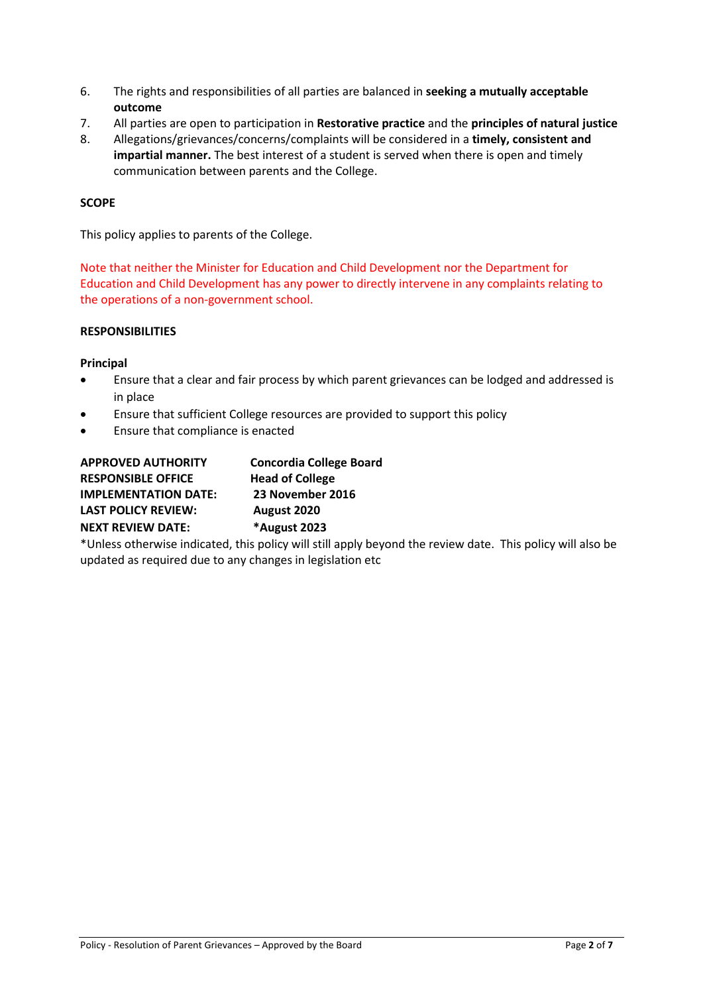- 6. The rights and responsibilities of all parties are balanced in **seeking a mutually acceptable outcome**
- 7. All parties are open to participation in **Restorative practice** and the **principles of natural justice**
- 8. Allegations/grievances/concerns/complaints will be considered in a **timely, consistent and impartial manner.** The best interest of a student is served when there is open and timely communication between parents and the College.

## **SCOPE**

This policy applies to parents of the College.

Note that neither the Minister for Education and Child Development nor the Department for Education and Child Development has any power to directly intervene in any complaints relating to the operations of a non-government school.

## **RESPONSIBILITIES**

## **Principal**

- Ensure that a clear and fair process by which parent grievances can be lodged and addressed is in place
- Ensure that sufficient College resources are provided to support this policy
- Ensure that compliance is enacted

| <b>APPROVED AUTHORITY</b>   | <b>Concordia College Board</b> |
|-----------------------------|--------------------------------|
| <b>RESPONSIBLE OFFICE</b>   | <b>Head of College</b>         |
| <b>IMPLEMENTATION DATE:</b> | 23 November 2016               |
| <b>LAST POLICY REVIEW:</b>  | August 2020                    |
| <b>NEXT REVIEW DATE:</b>    | *August 2023                   |
|                             |                                |

\*Unless otherwise indicated, this policy will still apply beyond the review date. This policy will also be updated as required due to any changes in legislation etc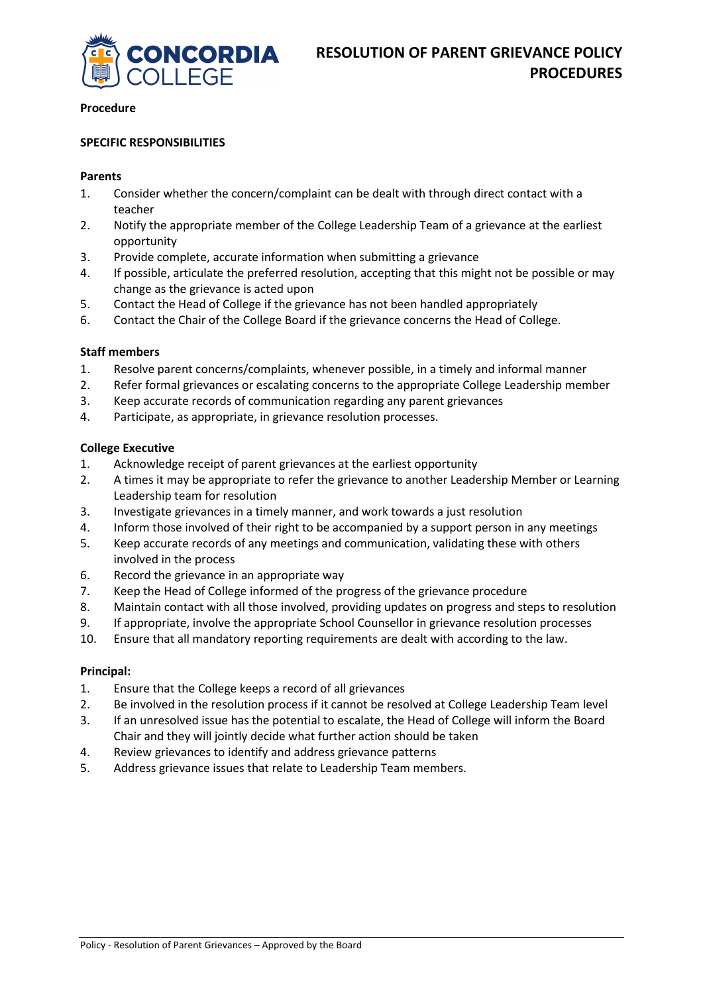

#### **Procedure**

#### **SPECIFIC RESPONSIBILITIES**

#### **Parents**

- 1. Consider whether the concern/complaint can be dealt with through direct contact with a teacher
- 2. Notify the appropriate member of the College Leadership Team of a grievance at the earliest opportunity
- 3. Provide complete, accurate information when submitting a grievance
- 4. If possible, articulate the preferred resolution, accepting that this might not be possible or may change as the grievance is acted upon
- 5. Contact the Head of College if the grievance has not been handled appropriately
- 6. Contact the Chair of the College Board if the grievance concerns the Head of College.

#### **Staff members**

- 1. Resolve parent concerns/complaints, whenever possible, in a timely and informal manner
- 2. Refer formal grievances or escalating concerns to the appropriate College Leadership member
- 3. Keep accurate records of communication regarding any parent grievances
- 4. Participate, as appropriate, in grievance resolution processes.

## **College Executive**

- 1. Acknowledge receipt of parent grievances at the earliest opportunity
- 2. A times it may be appropriate to refer the grievance to another Leadership Member or Learning Leadership team for resolution
- 3. Investigate grievances in a timely manner, and work towards a just resolution
- 4. Inform those involved of their right to be accompanied by a support person in any meetings
- 5. Keep accurate records of any meetings and communication, validating these with others involved in the process
- 6. Record the grievance in an appropriate way
- 7. Keep the Head of College informed of the progress of the grievance procedure
- 8. Maintain contact with all those involved, providing updates on progress and steps to resolution
- 9. If appropriate, involve the appropriate School Counsellor in grievance resolution processes
- 10. Ensure that all mandatory reporting requirements are dealt with according to the law.

## **Principal:**

- 1. Ensure that the College keeps a record of all grievances
- 2. Be involved in the resolution process if it cannot be resolved at College Leadership Team level
- 3. If an unresolved issue has the potential to escalate, the Head of College will inform the Board Chair and they will jointly decide what further action should be taken
- 4. Review grievances to identify and address grievance patterns
- 5. Address grievance issues that relate to Leadership Team members.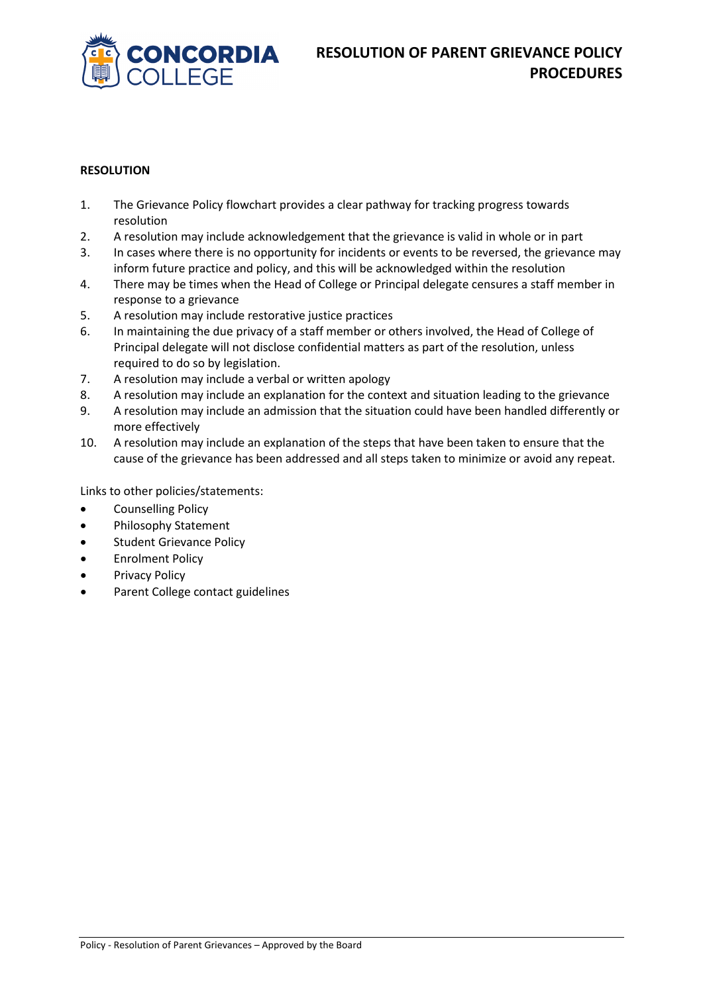

## **RESOLUTION**

- 1. The Grievance Policy flowchart provides a clear pathway for tracking progress towards resolution
- 2. A resolution may include acknowledgement that the grievance is valid in whole or in part
- 3. In cases where there is no opportunity for incidents or events to be reversed, the grievance may inform future practice and policy, and this will be acknowledged within the resolution
- 4. There may be times when the Head of College or Principal delegate censures a staff member in response to a grievance
- 5. A resolution may include restorative justice practices
- 6. In maintaining the due privacy of a staff member or others involved, the Head of College of Principal delegate will not disclose confidential matters as part of the resolution, unless required to do so by legislation.
- 7. A resolution may include a verbal or written apology
- 8. A resolution may include an explanation for the context and situation leading to the grievance
- 9. A resolution may include an admission that the situation could have been handled differently or more effectively
- 10. A resolution may include an explanation of the steps that have been taken to ensure that the cause of the grievance has been addressed and all steps taken to minimize or avoid any repeat.

Links to other policies/statements:

- Counselling Policy
- Philosophy Statement
- Student Grievance Policy
- Enrolment Policy
- Privacy Policy
- Parent College contact guidelines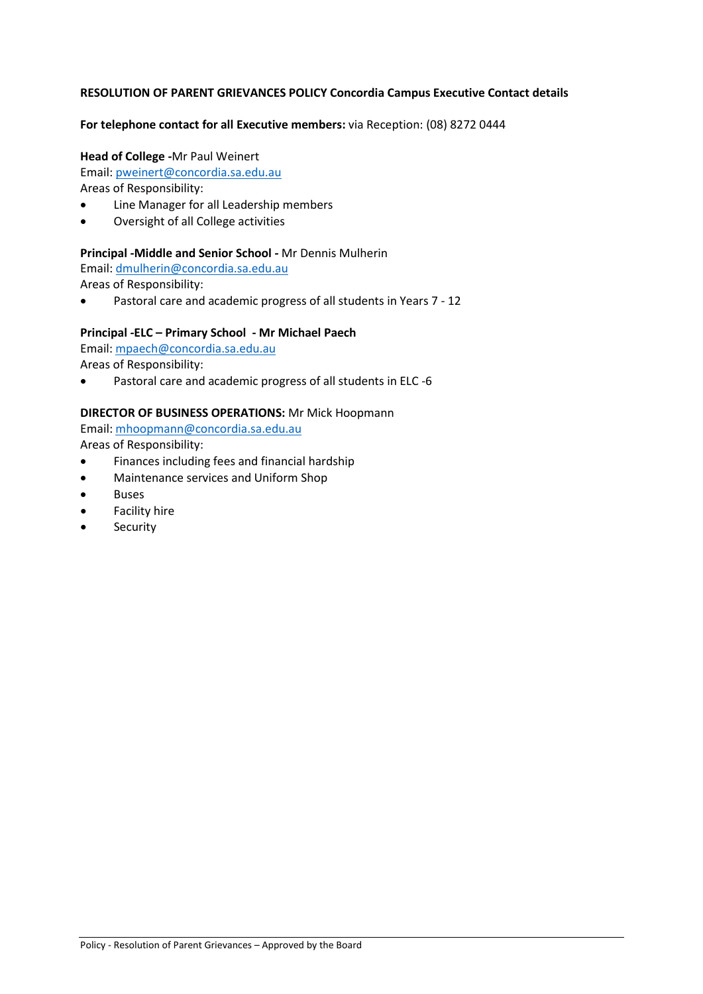## **RESOLUTION OF PARENT GRIEVANCES POLICY Concordia Campus Executive Contact details**

#### **For telephone contact for all Executive members:** via Reception: (08) 8272 0444

#### **Head of College -**Mr Paul Weinert

Email: [pweinert@concordia.sa.edu.au](mailto:pweinert@concordia.sa.edu.au)

Areas of Responsibility:

- Line Manager for all Leadership members
- Oversight of all College activities

#### **Principal -Middle and Senior School -** Mr Dennis Mulherin

Email: [dmulherin@concordia.sa.edu.au](mailto:fmcauliffe@concordia.sa.edu.au) 

Areas of Responsibility:

• Pastoral care and academic progress of all students in Years 7 - 12

## **Principal -ELC – Primary School - Mr Michael Paech**

Email: [mpaech@concordia.sa.edu.au](mailto:bcarman@concordia.sa.edu.au) 

Areas of Responsibility:

• Pastoral care and academic progress of all students in ELC -6

#### **DIRECTOR OF BUSINESS OPERATIONS:** Mr Mick Hoopmann

Email: [mhoopmann@concordia.sa.edu.au](mailto:mhoopmann@concordia.sa.edu.au) 

Areas of Responsibility:

- Finances including fees and financial hardship
- Maintenance services and Uniform Shop
- **Buses**
- Facility hire
- **Security**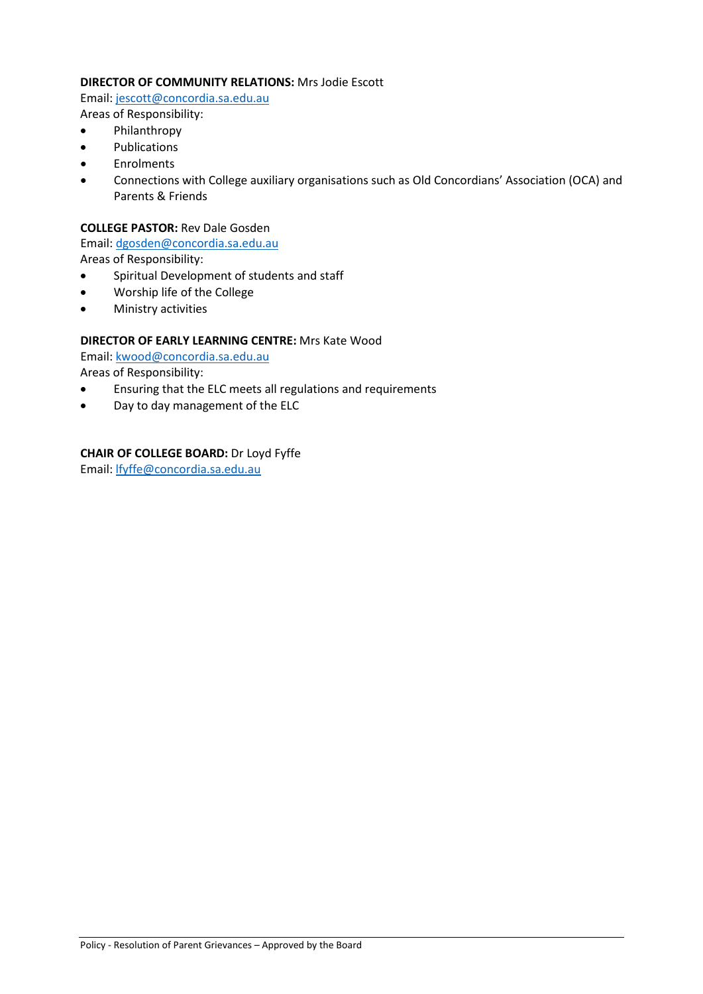## **DIRECTOR OF COMMUNITY RELATIONS:** Mrs Jodie Escott

Email: [jescott@concordia.sa.edu.au](mailto:jescott@concordia.sa.edu.au) 

- Areas of Responsibility:
- Philanthropy **Publications**
- **Enrolments**
- Connections with College auxiliary organisations such as Old Concordians' Association (OCA) and Parents & Friends

## **COLLEGE PASTOR:** Rev Dale Gosden

Email: [dgosden@concordia.sa.edu.au](mailto:dgosden@concordia.sa.edu.au) 

Areas of Responsibility:

- Spiritual Development of students and staff
- Worship life of the College
- Ministry activities

# **DIRECTOR OF EARLY LEARNING CENTRE:** Mrs Kate Wood

Email: [kwood@concordia.sa.edu.au](mailto:kwood@concordia.sa.edu.au) 

Areas of Responsibility:

- Ensuring that the ELC meets all regulations and requirements
- Day to day management of the ELC

# **CHAIR OF COLLEGE BOARD:** Dr Loyd Fyffe

Email: [lfyffe@concordia.sa.edu.au](mailto:lfyffe@concordia.sa.edu.au)